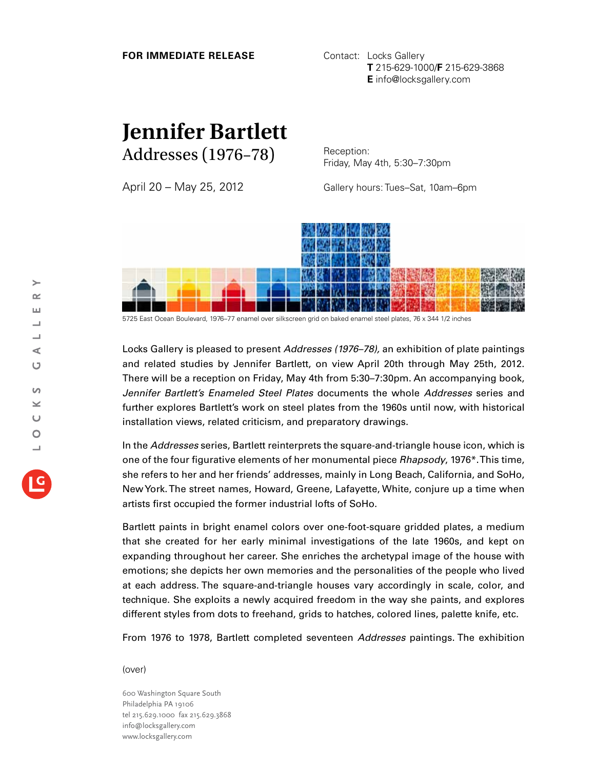## **FOR IMMEDIATE RELEASE Contact: Locks Gallery**

**T** 215-629-1000/**F** 215-629-3868 **E** info@locksgallery.com

## **Jennifer Bartlett** Addresses (1976–78)

April 20 – May 25, 2012

Reception: Friday, May 4th, 5:30–7:30pm

Gallery hours: Tues–Sat, 10am–6pm



5725 East Ocean Boulevard, 1976–77 enamel over silkscreen grid on baked enamel steel plates, 76 x 344 1/2 inches

Locks Gallery is pleased to present *Addresses (1976–78),* an exhibition of plate paintings and related studies by Jennifer Bartlett, on view April 20th through May 25th, 2012. There will be a reception on Friday, May 4th from 5:30–7:30pm. An accompanying book, *Jennifer Bartlett's Enameled Steel Plates* documents the whole *Addresses* series and further explores Bartlett's work on steel plates from the 1960s until now, with historical installation views, related criticism, and preparatory drawings.

In the *Addresses* series, Bartlett reinterprets the square-and-triangle house icon, which is one of the four figurative elements of her monumental piece *Rhapsody*, 1976\*. This time, she refers to her and her friends' addresses, mainly in Long Beach, California, and SoHo, New York. The street names, Howard, Greene, Lafayette, White, conjure up a time when artists first occupied the former industrial lofts of SoHo.

Bartlett paints in bright enamel colors over one-foot-square gridded plates, a medium that she created for her early minimal investigations of the late 1960s, and kept on expanding throughout her career. She enriches the archetypal image of the house with emotions; she depicts her own memories and the personalities of the people who lived at each address. The square-and-triangle houses vary accordingly in scale, color, and technique. She exploits a newly acquired freedom in the way she paints, and explores different styles from dots to freehand, grids to hatches, colored lines, palette knife, etc.

From 1976 to 1978, Bartlett completed seventeen *Addresses* paintings. The exhibition

(over)

600 Washington Square South Philadelphia PA 19106 tel 215.629.1000 fax 215.629.3868 info@locksgallery.com www.locksgallery.com